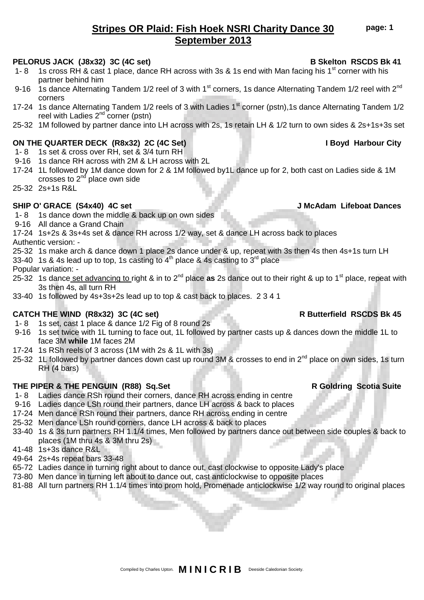# **Stripes OR Plaid: Fish Hoek NSRI Charity Dance 30 September 2013**

### **PELORUS JACK (J8x32) 3C (4C set) B Skelton RSCDS Bk 41**

- 1- 8 1s cross RH & cast 1 place, dance RH across with 3s & 1s end with Man facing his 1<sup>st</sup> corner with his partner behind him
- 9-16 1s dance Alternating Tandem 1/2 reel of 3 with 1<sup>st</sup> corners, 1s dance Alternating Tandem 1/2 reel with 2<sup>nd</sup> corners
- 17-24 1s dance Alternating Tandem 1/2 reels of 3 with Ladies 1<sup>st</sup> corner (pstn), 1s dance Alternating Tandem 1/2 reel with Ladies  $2^{nd}$  corner (pstn)
- 25-32 1M followed by partner dance into LH across with 2s, 1s retain LH & 1/2 turn to own sides & 2s+1s+3s set

## **ON THE QUARTER DECK (R8x32) 2C (4C Set) I Boyd Harbour City**

- 1- 8 1s set & cross over RH, set & 3/4 turn RH
- 9-16 1s dance RH across with 2M & LH across with 2L
- 17-24 1L followed by 1M dance down for 2 & 1M followed by1L dance up for 2, both cast on Ladies side & 1M crosses to  $2<sup>nd</sup>$  place own side
- 25-32 2s+1s R&L

## **SHIP O' GRACE (S4x40) 4C set J McAdam Lifeboat Dances**

- 1- 8 1s dance down the middle & back up on own sides
- 9-16 All dance a Grand Chain
- 17-24 1s+2s & 3s+4s set & dance RH across 1/2 way, set & dance LH across back to places Authentic version: -
- 25-32 1s make arch & dance down 1 place 2s dance under & up, repeat with 3s then 4s then 4s+1s turn LH
- 33-40 1s & 4s lead up to top, 1s casting to  $4<sup>th</sup>$  place & 4s casting to  $3<sup>rd</sup>$  place
- Popular variation: -
- 25-32 1s dance set advancing to right & in to 2nd place **as** 2s dance out to their right & up to 1st place, repeat with 3s then 4s, all turn RH
- 33-40 1s followed by 4s+3s+2s lead up to top & cast back to places. 2 3 4 1

# **CATCH THE WIND (R8x32) 3C (4C set) R Butterfield RSCDS Bk 45**

- 1- 8 1s set, cast 1 place & dance 1/2 Fig of 8 round 2s
- 9-16 1s set twice with 1L turning to face out, 1L followed by partner casts up & dances down the middle 1L to face 3M **while** 1M faces 2M
- 17-24 1s RSh reels of 3 across (1M with 2s & 1L with 3s)
- 25-32 1L followed by partner dances down cast up round 3M & crosses to end in 2<sup>nd</sup> place on own sides, 1s turn RH (4 bars)

## **THE PIPER & THE PENGUIN (R88) Sq.Set R Goldring Scotia Suite**

- 1- 8 Ladies dance RSh round their corners, dance RH across ending in centre
- 9-16 Ladies dance LSh round their partners, dance LH across & back to places
- 17-24 Men dance RSh round their partners, dance RH across ending in centre
- 25-32 Men dance LSh round corners, dance LH across & back to places
- 33-40 1s & 3s turn partners RH 1.1/4 times, Men followed by partners dance out between side couples & back to places (1M thru 4s & 3M thru 2s)
- 41-48 1s+3s dance R&L
- 49-64 2s+4s repeat bars 33-48
- 65-72 Ladies dance in turning right about to dance out, cast clockwise to opposite Lady's place
- 73-80 Men dance in turning left about to dance out, cast anticlockwise to opposite places
- 81-88 All turn partners RH 1.1/4 times into prom hold, Promenade anticlockwise 1/2 way round to original places

**page: 1**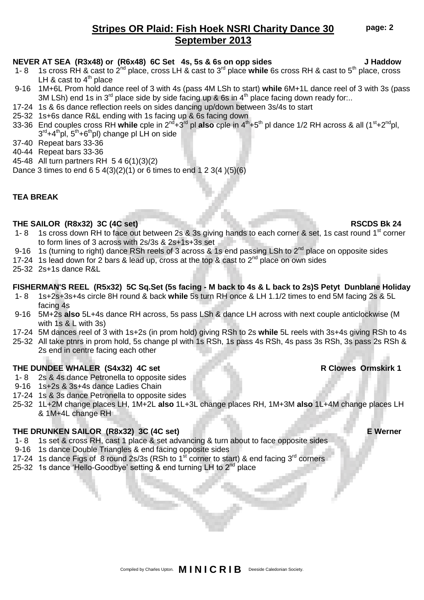# **Stripes OR Plaid: Fish Hoek NSRI Charity Dance 30 September 2013**

### **NEVER AT SEA (R3x48) or (R6x48) 6C Set 4s, 5s & 6s on opp sides J Haddow**

- 1- 8 1s cross RH & cast to 2nd place, cross LH & cast to 3rd place **while** 6s cross RH & cast to 5th place, cross LH  $\&$  cast to  $4^{\text{th}}$  place
- 9-16 1M+6L Prom hold dance reel of 3 with 4s (pass 4M LSh to start) **while** 6M+1L dance reel of 3 with 3s (pass 3M LSh) end 1s in  $3^{rd}$  place side by side facing up & 6s in 4<sup>th</sup> place facing down ready for...
- 17-24 1s & 6s dance reflection reels on sides dancing up/down between 3s/4s to start
- 25-32 1s+6s dance R&L ending with 1s facing up & 6s facing down
- 33-36 End couples cross RH **while** cple in 2nd+3rd pl **also** cple in 4th+5th pl dance 1/2 RH across & all (1st+2ndpl, 3<sup>rd</sup>+4<sup>th</sup>pl, 5<sup>th</sup>+6<sup>th</sup>pl) change pl LH on side
- 37-40 Repeat bars 33-36
- 40-44 Repeat bars 33-36
- 45-48 All turn partners RH 5 4 6(1)(3)(2)
- Dance 3 times to end  $6\ 5\ 4(3)(2)(1)$  or 6 times to end  $1\ 2\ 3(4)(5)(6)$

### **TEA BREAK**

### **THE SAILOR (R8x32) 3C (4C set) RSCDS Bk 24**

- 1- 8 1s cross down RH to face out between 2s & 3s giving hands to each corner & set, 1s cast round 1<sup>st</sup> corner to form lines of 3 across with 2s/3s & 2s+1s+3s set
- 9-16 1s (turning to right) dance RSh reels of 3 across & 1s end passing LSh to  $2^{nd}$  place on opposite sides
- 17-24 1s lead down for 2 bars & lead up, cross at the top & cast to  $2^{nd}$  place on own sides
- 25-32 2s+1s dance R&L

### **FISHERMAN'S REEL (R5x32) 5C Sq.Set (5s facing - M back to 4s & L back to 2s)S Petyt Dunblane Holiday**

- 1- 8 1s+2s+3s+4s circle 8H round & back **while** 5s turn RH once & LH 1.1/2 times to end 5M facing 2s & 5L facing 4s
- 9-16 5M+2s **also** 5L+4s dance RH across, 5s pass LSh & dance LH across with next couple anticlockwise (M with 1s & L with 3s)
- 17-24 5M dances reel of 3 with 1s+2s (in prom hold) giving RSh to 2s **while** 5L reels with 3s+4s giving RSh to 4s
- 25-32 All take ptnrs in prom hold, 5s change pl with 1s RSh, 1s pass 4s RSh, 4s pass 3s RSh, 3s pass 2s RSh &
	- 2s end in centre facing each other

### THE DUNDEE WHALER (S4x32) 4C set **R** Clowes Ormskirk 1

- 1- 8 2s & 4s dance Petronella to opposite sides
- 9-16 1s+2s & 3s+4s dance Ladies Chain
- 17-24 1s & 3s dance Petronella to opposite sides
- 25-32 1L+2M change places LH, 1M+2L **also** 1L+3L change places RH, 1M+3M **also** 1L+4M change places LH & 1M+4L change RH

### **THE DRUNKEN SAILOR (R8x32) 3C (4C set) E Werner**

- 1- 8 1s set & cross RH, cast 1 place & set advancing & turn about to face opposite sides
- 9-16 1s dance Double Triangles & end facing opposite sides
- 17-24 1s dance Figs of 8 round 2s/3s (RSh to  $1<sup>st</sup>$  corner to start) & end facing  $3<sup>rd</sup>$  corners
- 25-32 1s dance 'Hello-Goodbye' setting & end turning LH to 2<sup>nd</sup> place